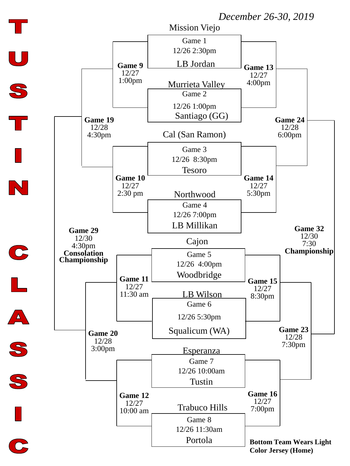## *December 26-30, 2019*